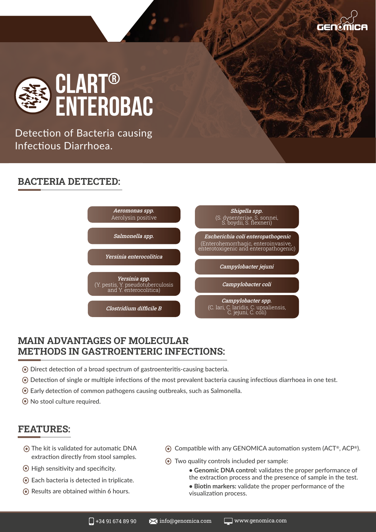



Detection of Bacteria causing Infectious Diarrhoea.

### **BACTERIA DETECTED:**



### **MAIN ADVANTAGES OF MOLECULAR METHODS IN GASTROENTERIC INFECTIONS:**

- Direct detection of a broad spectrum of gastroenteritis-causing bacteria.
- Detection of single or multiple infections of the most prevalent bacteria causing infectious diarrhoea in one test.
- Early detection of common pathogens causing outbreaks, such as Salmonella.
- No stool culture required.

### **FEATURES:**

- The kit is validated for automatic DNA extraction directly from stool samples.
- High sensitivity and specificity.
- Each bacteria is detected in triplicate.
- Results are obtained within 6 hours.
- $\odot$  Compatible with any GENOMICA automation system (ACT®, ACP®).
- Two quality controls included per sample:
	- **Genomic DNA control:** validates the proper performance of the extraction process and the presence of sample in the test.
	- **Biotin markers:** validate the proper performance of the visualization process.